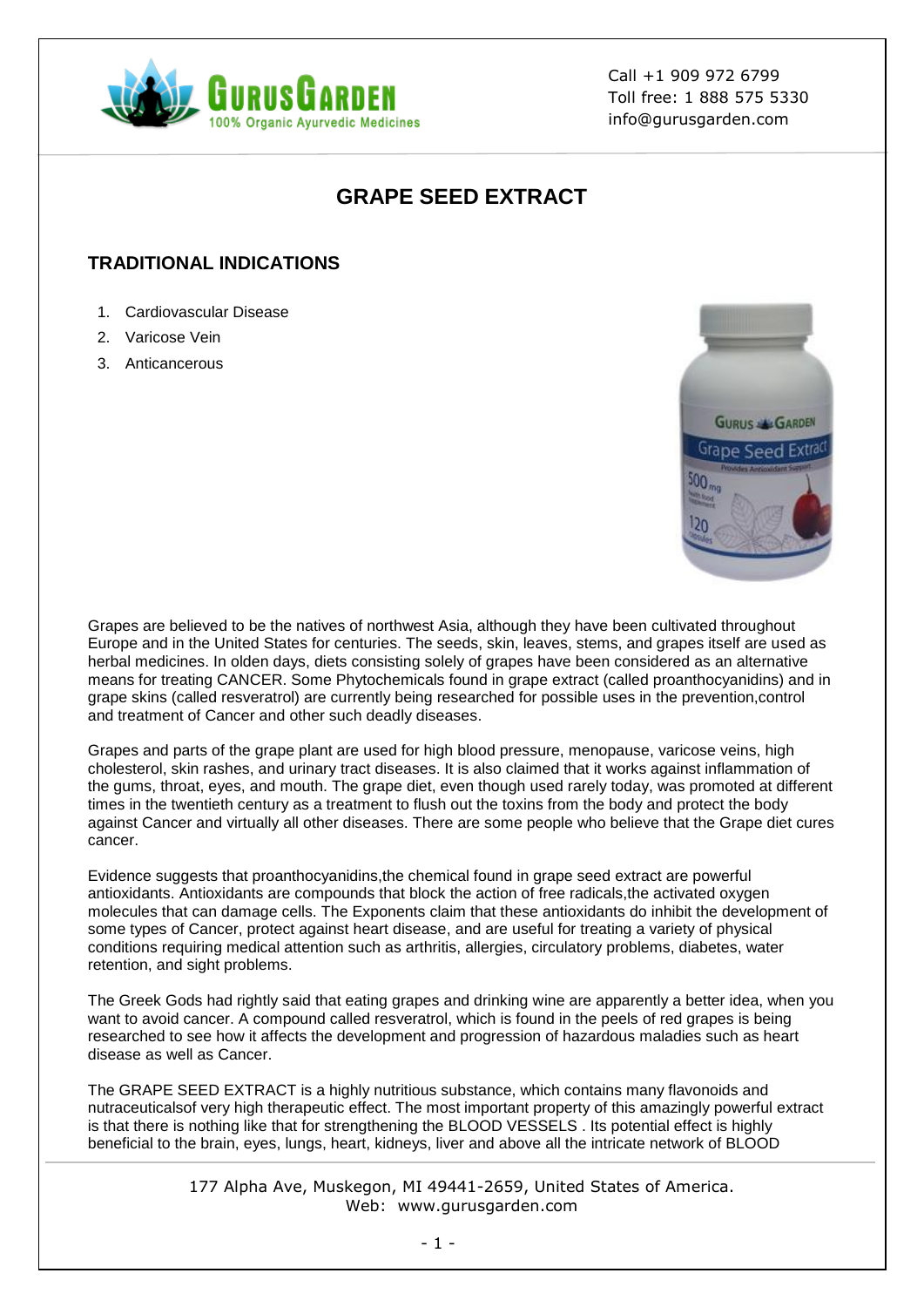

Call +1 909 972 6799 Toll free: 1 888 575 5330 info@gurusgarden.com

# **GRAPE SEED EXTRACT**

## **TRADITIONAL INDICATIONS**

- 1. Cardiovascular Disease
- 2. Varicose Vein
- 3. Anticancerous



Grapes are believed to be the natives of northwest Asia, although they have been cultivated throughout Europe and in the United States for centuries. The seeds, skin, leaves, stems, and grapes itself are used as herbal medicines. In olden days, diets consisting solely of grapes have been considered as an alternative means for treating CANCER. Some Phytochemicals found in grape extract (called proanthocyanidins) and in grape skins (called resveratrol) are currently being researched for possible uses in the prevention,control and treatment of Cancer and other such deadly diseases.

Grapes and parts of the grape plant are used for high blood pressure, menopause, varicose veins, high cholesterol, skin rashes, and urinary tract diseases. It is also claimed that it works against inflammation of the gums, throat, eyes, and mouth. The grape diet, even though used rarely today, was promoted at different times in the twentieth century as a treatment to flush out the toxins from the body and protect the body against Cancer and virtually all other diseases. There are some people who believe that the Grape diet cures cancer.

Evidence suggests that proanthocyanidins,the chemical found in grape seed extract are powerful antioxidants. Antioxidants are compounds that block the action of free radicals,the activated oxygen molecules that can damage cells. The Exponents claim that these antioxidants do inhibit the development of some types of Cancer, protect against heart disease, and are useful for treating a variety of physical conditions requiring medical attention such as arthritis, allergies, circulatory problems, diabetes, water retention, and sight problems.

The Greek Gods had rightly said that eating grapes and drinking wine are apparently a better idea, when you want to avoid cancer. A compound called resveratrol, which is found in the peels of red grapes is being researched to see how it affects the development and progression of hazardous maladies such as heart disease as well as Cancer.

The GRAPE SEED EXTRACT is a highly nutritious substance, which contains many flavonoids and nutraceuticalsof very high therapeutic effect. The most important property of this amazingly powerful extract is that there is nothing like that for strengthening the BLOOD VESSELS . Its potential effect is highly beneficial to the brain, eyes, lungs, heart, kidneys, liver and above all the intricate network of BLOOD

> 177 Alpha Ave, Muskegon, MI 49441-2659, United States of America. Web: www.gurusgarden.com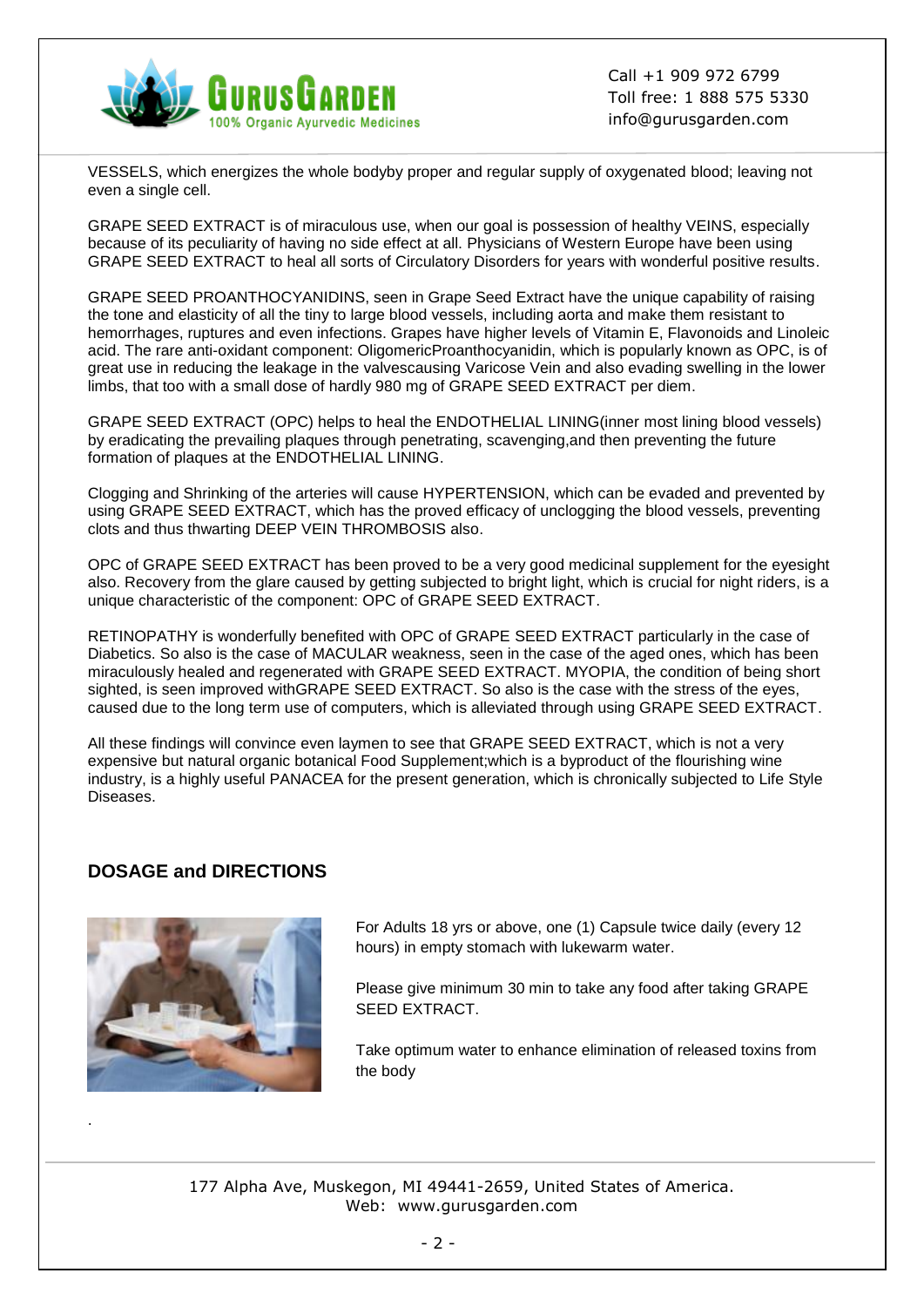

Call +1 909 972 6799 Toll free: 1 888 575 5330 info@gurusgarden.com

VESSELS, which energizes the whole bodyby proper and regular supply of oxygenated blood; leaving not even a single cell.

GRAPE SEED EXTRACT is of miraculous use, when our goal is possession of healthy VEINS, especially because of its peculiarity of having no side effect at all. Physicians of Western Europe have been using GRAPE SEED EXTRACT to heal all sorts of Circulatory Disorders for years with wonderful positive results.

GRAPE SEED PROANTHOCYANIDINS, seen in Grape Seed Extract have the unique capability of raising the tone and elasticity of all the tiny to large blood vessels, including aorta and make them resistant to hemorrhages, ruptures and even infections. Grapes have higher levels of Vitamin E, Flavonoids and Linoleic acid. The rare anti-oxidant component: OligomericProanthocyanidin, which is popularly known as OPC, is of great use in reducing the leakage in the valvescausing Varicose Vein and also evading swelling in the lower limbs, that too with a small dose of hardly 980 mg of GRAPE SEED EXTRACT per diem.

GRAPE SEED EXTRACT (OPC) helps to heal the ENDOTHELIAL LINING(inner most lining blood vessels) by eradicating the prevailing plaques through penetrating, scavenging,and then preventing the future formation of plaques at the ENDOTHELIAL LINING.

Clogging and Shrinking of the arteries will cause HYPERTENSION, which can be evaded and prevented by using GRAPE SEED EXTRACT, which has the proved efficacy of unclogging the blood vessels, preventing clots and thus thwarting DEEP VEIN THROMBOSIS also.

OPC of GRAPE SEED EXTRACT has been proved to be a very good medicinal supplement for the eyesight also. Recovery from the glare caused by getting subjected to bright light, which is crucial for night riders, is a unique characteristic of the component: OPC of GRAPE SEED EXTRACT.

RETINOPATHY is wonderfully benefited with OPC of GRAPE SEED EXTRACT particularly in the case of Diabetics. So also is the case of MACULAR weakness, seen in the case of the aged ones, which has been miraculously healed and regenerated with GRAPE SEED EXTRACT. MYOPIA, the condition of being short sighted, is seen improved withGRAPE SEED EXTRACT. So also is the case with the stress of the eyes, caused due to the long term use of computers, which is alleviated through using GRAPE SEED EXTRACT.

All these findings will convince even laymen to see that GRAPE SEED EXTRACT, which is not a very expensive but natural organic botanical Food Supplement;which is a byproduct of the flourishing wine industry, is a highly useful PANACEA for the present generation, which is chronically subjected to Life Style Diseases.

### **DOSAGE and DIRECTIONS**



.

For Adults 18 yrs or above, one (1) Capsule twice daily (every 12 hours) in empty stomach with lukewarm water.

Please give minimum 30 min to take any food after taking GRAPE SEED EXTRACT.

Take optimum water to enhance elimination of released toxins from the body

177 Alpha Ave, Muskegon, MI 49441-2659, United States of America. Web: www.gurusgarden.com